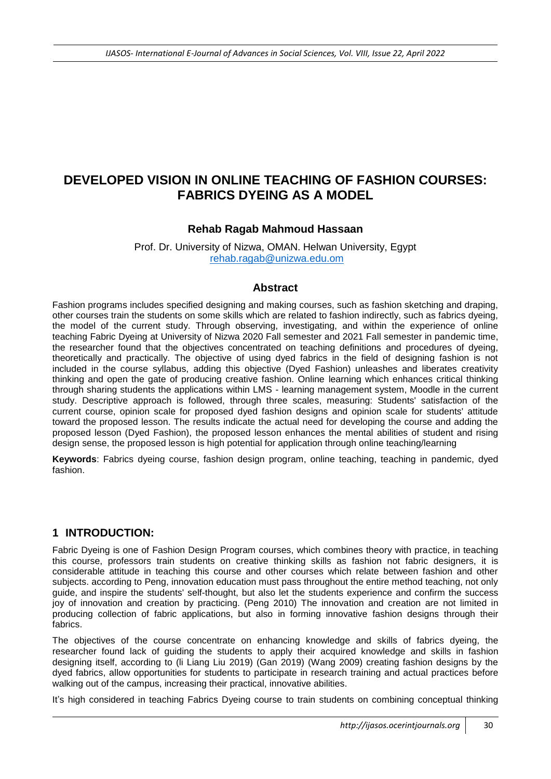# **DEVELOPED VISION IN ONLINE TEACHING OF FASHION COURSES: FABRICS DYEING AS A MODEL**

### **Rehab Ragab Mahmoud Hassaan**

Prof. Dr. University of Nizwa, OMAN. Helwan University, Egypt [rehab.ragab@unizwa.edu.om](mailto:rehab.ragab@unizwa.edu.om)

#### **Abstract**

Fashion programs includes specified designing and making courses, such as fashion sketching and draping, other courses train the students on some skills which are related to fashion indirectly, such as fabrics dyeing, the model of the current study. Through observing, investigating, and within the experience of online teaching Fabric Dyeing at University of Nizwa 2020 Fall semester and 2021 Fall semester in pandemic time, the researcher found that the objectives concentrated on teaching definitions and procedures of dyeing, theoretically and practically. The objective of using dyed fabrics in the field of designing fashion is not included in the course syllabus, adding this objective (Dyed Fashion) unleashes and liberates creativity thinking and open the gate of producing creative fashion. Online learning which enhances critical thinking through sharing students the applications within LMS - learning management system, Moodle in the current study. Descriptive approach is followed, through three scales, measuring: Students' satisfaction of the current course, opinion scale for proposed dyed fashion designs and opinion scale for students' attitude toward the proposed lesson. The results indicate the actual need for developing the course and adding the proposed lesson (Dyed Fashion), the proposed lesson enhances the mental abilities of student and rising design sense, the proposed lesson is high potential for application through online teaching/learning

**Keywords**: Fabrics dyeing course, fashion design program, online teaching, teaching in pandemic, dyed fashion.

#### **1 INTRODUCTION:**

Fabric Dyeing is one of Fashion Design Program courses, which combines theory with practice, in teaching this course, professors train students on creative thinking skills as fashion not fabric designers, it is considerable attitude in teaching this course and other courses which relate between fashion and other subjects. according to Peng, innovation education must pass throughout the entire method teaching, not only guide, and inspire the students' self-thought, but also let the students experience and confirm the success joy of innovation and creation by practicing. (Peng 2010) The innovation and creation are not limited in producing collection of fabric applications, but also in forming innovative fashion designs through their fabrics.

The objectives of the course concentrate on enhancing knowledge and skills of fabrics dyeing, the researcher found lack of guiding the students to apply their acquired knowledge and skills in fashion designing itself, according to (li Liang Liu 2019) (Gan 2019) (Wang 2009) creating fashion designs by the dyed fabrics, allow opportunities for students to participate in research training and actual practices before walking out of the campus, increasing their practical, innovative abilities.

It's high considered in teaching Fabrics Dyeing course to train students on combining conceptual thinking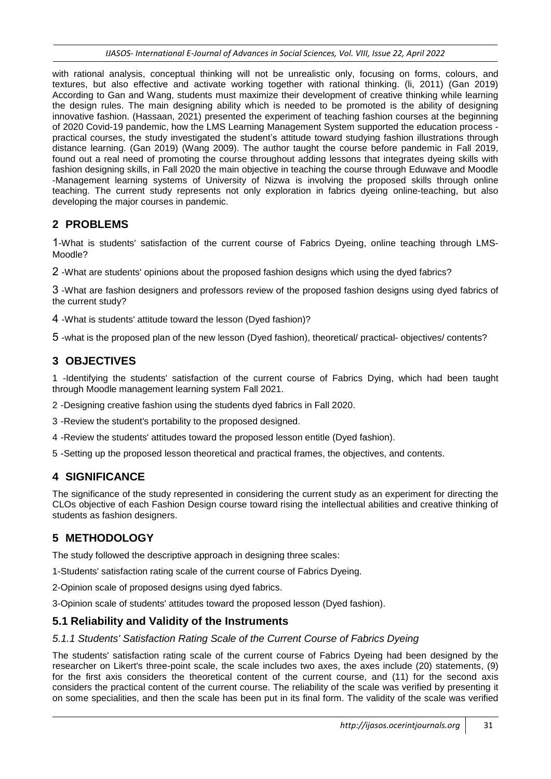with rational analysis, conceptual thinking will not be unrealistic only, focusing on forms, colours, and textures, but also effective and activate working together with rational thinking. (li, 2011) (Gan 2019) According to Gan and Wang, students must maximize their development of creative thinking while learning the design rules. The main designing ability which is needed to be promoted is the ability of designing innovative fashion. (Hassaan, 2021) presented the experiment of teaching fashion courses at the beginning of 2020 Covid-19 pandemic, how the LMS Learning Management System supported the education process practical courses, the study investigated the student's attitude toward studying fashion illustrations through distance learning. (Gan 2019) (Wang 2009). The author taught the course before pandemic in Fall 2019, found out a real need of promoting the course throughout adding lessons that integrates dyeing skills with fashion designing skills, in Fall 2020 the main objective in teaching the course through Eduwave and Moodle -Management learning systems of University of Nizwa is involving the proposed skills through online teaching. The current study represents not only exploration in fabrics dyeing online-teaching, but also developing the major courses in pandemic.

# **2 PROBLEMS**

1-What is students' satisfaction of the current course of Fabrics Dyeing, online teaching through LMS-Moodle?

2 -What are students' opinions about the proposed fashion designs which using the dyed fabrics?

3 -What are fashion designers and professors review of the proposed fashion designs using dyed fabrics of the current study?

4 -What is students' attitude toward the lesson (Dyed fashion)?

5 -what is the proposed plan of the new lesson (Dyed fashion), theoretical/ practical- objectives/ contents?

# **3 OBJECTIVES**

1 -Identifying the students' satisfaction of the current course of Fabrics Dying, which had been taught through Moodle management learning system Fall 2021.

2 -Designing creative fashion using the students dyed fabrics in Fall 2020.

3 -Review the student's portability to the proposed designed.

4 -Review the students' attitudes toward the proposed lesson entitle (Dyed fashion).

5 -Setting up the proposed lesson theoretical and practical frames, the objectives, and contents.

# **4 SIGNIFICANCE**

The significance of the study represented in considering the current study as an experiment for directing the CLOs objective of each Fashion Design course toward rising the intellectual abilities and creative thinking of students as fashion designers.

## **5 METHODOLOGY**

The study followed the descriptive approach in designing three scales:

1-Students' satisfaction rating scale of the current course of Fabrics Dyeing.

2-Opinion scale of proposed designs using dyed fabrics.

3-Opinion scale of students' attitudes toward the proposed lesson (Dyed fashion).

## **5.1 Reliability and Validity of the Instruments**

#### *5.1.1 Students' Satisfaction Rating Scale of the Current Course of Fabrics Dyeing*

The students' satisfaction rating scale of the current course of Fabrics Dyeing had been designed by the researcher on Likert's three-point scale, the scale includes two axes, the axes include (20) statements, (9) for the first axis considers the theoretical content of the current course, and (11) for the second axis considers the practical content of the current course. The reliability of the scale was verified by presenting it on some specialities, and then the scale has been put in its final form. The validity of the scale was verified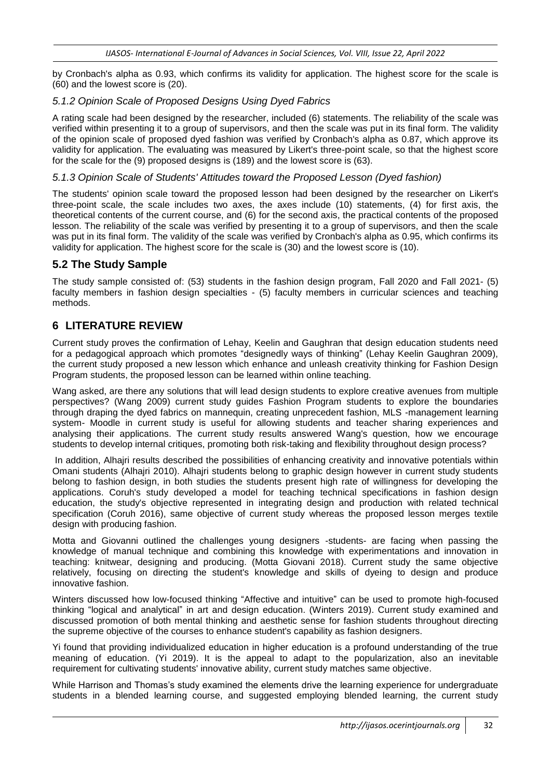by Cronbach's alpha as 0.93, which confirms its validity for application. The highest score for the scale is (60) and the lowest score is (20).

#### *5.1.2 Opinion Scale of Proposed Designs Using Dyed Fabrics*

A rating scale had been designed by the researcher, included (6) statements. The reliability of the scale was verified within presenting it to a group of supervisors, and then the scale was put in its final form. The validity of the opinion scale of proposed dyed fashion was verified by Cronbach's alpha as 0.87, which approve its validity for application. The evaluating was measured by Likert's three-point scale, so that the highest score for the scale for the (9) proposed designs is (189) and the lowest score is (63).

#### *5.1.3 Opinion Scale of Students' Attitudes toward the Proposed Lesson (Dyed fashion)*

The students' opinion scale toward the proposed lesson had been designed by the researcher on Likert's three-point scale, the scale includes two axes, the axes include (10) statements, (4) for first axis, the theoretical contents of the current course, and (6) for the second axis, the practical contents of the proposed lesson. The reliability of the scale was verified by presenting it to a group of supervisors, and then the scale was put in its final form. The validity of the scale was verified by Cronbach's alpha as 0.95, which confirms its validity for application. The highest score for the scale is (30) and the lowest score is (10).

## **5.2 The Study Sample**

The study sample consisted of: (53) students in the fashion design program, Fall 2020 and Fall 2021- (5) faculty members in fashion design specialties - (5) faculty members in curricular sciences and teaching methods.

## **6 LITERATURE REVIEW**

Current study proves the confirmation of Lehay, Keelin and Gaughran that design education students need for a pedagogical approach which promotes "designedly ways of thinking" (Lehay Keelin Gaughran 2009), the current study proposed a new lesson which enhance and unleash creativity thinking for Fashion Design Program students, the proposed lesson can be learned within online teaching.

Wang asked, are there any solutions that will lead design students to explore creative avenues from multiple perspectives? (Wang 2009) current study guides Fashion Program students to explore the boundaries through draping the dyed fabrics on mannequin, creating unprecedent fashion, MLS -management learning system- Moodle in current study is useful for allowing students and teacher sharing experiences and analysing their applications. The current study results answered Wang's question, how we encourage students to develop internal critiques, promoting both risk-taking and flexibility throughout design process?

In addition, Alhajri results described the possibilities of enhancing creativity and innovative potentials within Omani students (Alhajri 2010). Alhajri students belong to graphic design however in current study students belong to fashion design, in both studies the students present high rate of willingness for developing the applications. Coruh's study developed a model for teaching technical specifications in fashion design education, the study's objective represented in integrating design and production with related technical specification (Coruh 2016), same objective of current study whereas the proposed lesson merges textile design with producing fashion.

Motta and Giovanni outlined the challenges young designers -students- are facing when passing the knowledge of manual technique and combining this knowledge with experimentations and innovation in teaching: knitwear, designing and producing. (Motta Giovani 2018). Current study the same objective relatively, focusing on directing the student's knowledge and skills of dyeing to design and produce innovative fashion.

Winters discussed how low-focused thinking "Affective and intuitive" can be used to promote high-focused thinking "logical and analytical" in art and design education. (Winters 2019). Current study examined and discussed promotion of both mental thinking and aesthetic sense for fashion students throughout directing the supreme objective of the courses to enhance student's capability as fashion designers.

Yi found that providing individualized education in higher education is a profound understanding of the true meaning of education. (Yi 2019). It is the appeal to adapt to the popularization, also an inevitable requirement for cultivating students' innovative ability, current study matches same objective.

While Harrison and Thomas's study examined the elements drive the learning experience for undergraduate students in a blended learning course, and suggested employing blended learning, the current study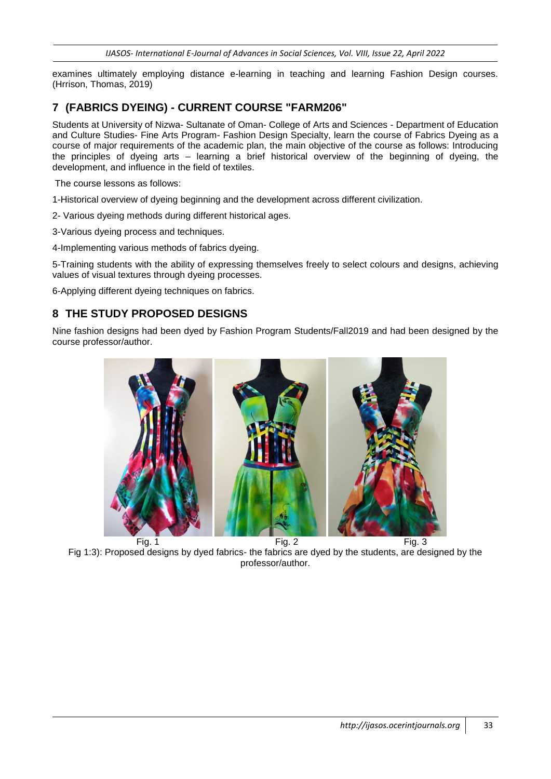examines ultimately employing distance e-learning in teaching and learning Fashion Design courses. (Hrrison, Thomas, 2019)

## **7 (FABRICS DYEING) - CURRENT COURSE "FARM206"**

Students at University of Nizwa- Sultanate of Oman- College of Arts and Sciences - Department of Education and Culture Studies- Fine Arts Program- Fashion Design Specialty, learn the course of Fabrics Dyeing as a course of major requirements of the academic plan, the main objective of the course as follows: Introducing the principles of dyeing arts – learning a brief historical overview of the beginning of dyeing, the development, and influence in the field of textiles.

The course lessons as follows:

1-Historical overview of dyeing beginning and the development across different civilization.

2- Various dyeing methods during different historical ages.

3-Various dyeing process and techniques.

4-Implementing various methods of fabrics dyeing.

5-Training students with the ability of expressing themselves freely to select colours and designs, achieving values of visual textures through dyeing processes.

6-Applying different dyeing techniques on fabrics.

## **8 THE STUDY PROPOSED DESIGNS**

Nine fashion designs had been dyed by Fashion Program Students/Fall2019 and had been designed by the course professor/author.



Fig 1:3): Proposed designs by dyed fabrics- the fabrics are dyed by the students, are designed by the professor/author.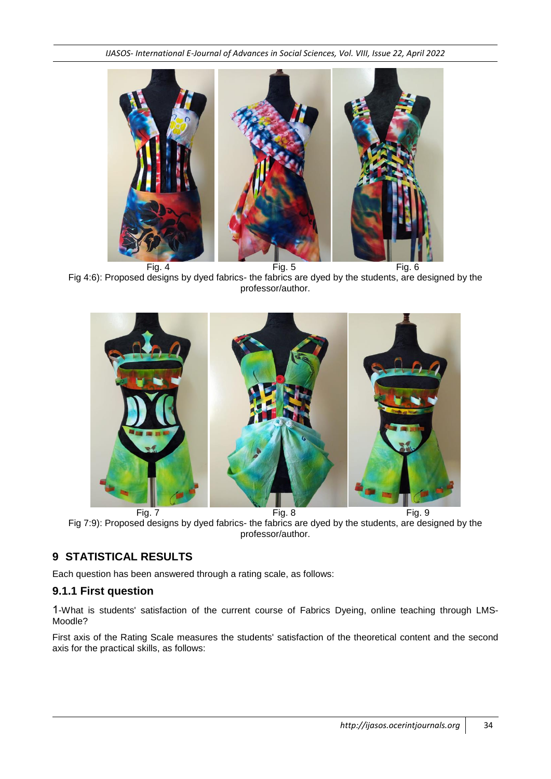

Fig 4:6): Proposed designs by dyed fabrics- the fabrics are dyed by the students, are designed by the professor/author.



Fig 7:9): Proposed designs by dyed fabrics- the fabrics are dyed by the students, are designed by the professor/author.

# **9 STATISTICAL RESULTS**

Each question has been answered through a rating scale, as follows:

## **9.1.1 First question**

1-What is students' satisfaction of the current course of Fabrics Dyeing, online teaching through LMS-Moodle?

First axis of the Rating Scale measures the students' satisfaction of the theoretical content and the second axis for the practical skills, as follows: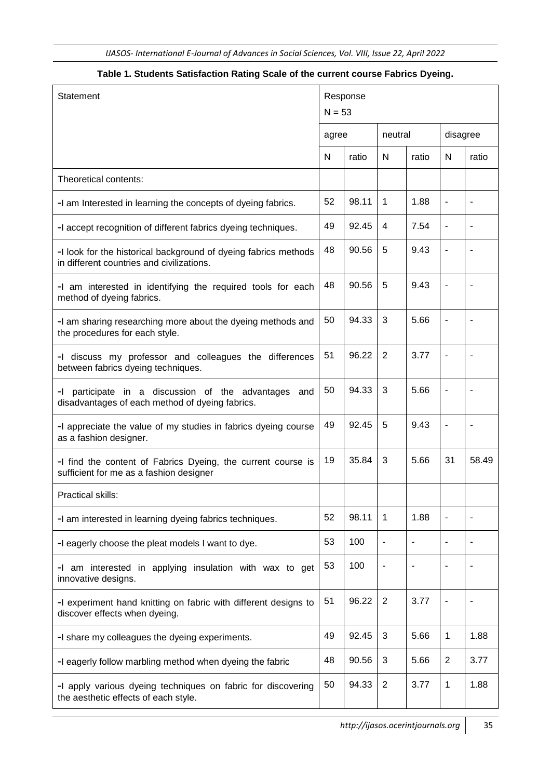| <b>Statement</b>                                                                                             | Response<br>$N = 53$ |       |                |                          |                          |       |
|--------------------------------------------------------------------------------------------------------------|----------------------|-------|----------------|--------------------------|--------------------------|-------|
|                                                                                                              | agree                |       | neutral        |                          | disagree                 |       |
|                                                                                                              | N                    | ratio | N              | ratio                    | N                        | ratio |
| Theoretical contents:                                                                                        |                      |       |                |                          |                          |       |
| -I am Interested in learning the concepts of dyeing fabrics.                                                 | 52                   | 98.11 | $\mathbf 1$    | 1.88                     | $\overline{\phantom{a}}$ |       |
| -I accept recognition of different fabrics dyeing techniques.                                                | 49                   | 92.45 | 4              | 7.54                     | $\overline{\phantom{a}}$ |       |
| -I look for the historical background of dyeing fabrics methods<br>in different countries and civilizations. | 48                   | 90.56 | 5              | 9.43                     | $\overline{\phantom{0}}$ |       |
| -I am interested in identifying the required tools for each<br>method of dyeing fabrics.                     | 48                   | 90.56 | 5              | 9.43                     | ä,                       |       |
| -I am sharing researching more about the dyeing methods and<br>the procedures for each style.                | 50                   | 94.33 | 3              | 5.66                     | -                        |       |
| -I discuss my professor and colleagues the differences<br>between fabrics dyeing techniques.                 | 51                   | 96.22 | 2              | 3.77                     | $\overline{\phantom{0}}$ |       |
| -I participate in a discussion of the advantages and<br>disadvantages of each method of dyeing fabrics.      |                      | 94.33 | 3              | 5.66                     | ä,                       |       |
| -I appreciate the value of my studies in fabrics dyeing course<br>as a fashion designer.                     |                      | 92.45 | 5              | 9.43                     |                          |       |
| -I find the content of Fabrics Dyeing, the current course is<br>sufficient for me as a fashion designer      |                      | 35.84 | 3              | 5.66                     | 31                       | 58.49 |
| Practical skills:                                                                                            |                      |       |                |                          |                          |       |
| -I am interested in learning dyeing fabrics techniques.                                                      | 52                   | 98.11 | $\mathbf 1$    | 1.88                     | ٠                        |       |
| -I eagerly choose the pleat models I want to dye.                                                            | 53                   | 100   |                |                          |                          |       |
| -I am interested in applying insulation with wax to get<br>innovative designs.                               |                      | 100   | $\overline{a}$ | $\overline{\phantom{a}}$ |                          |       |
| -I experiment hand knitting on fabric with different designs to<br>discover effects when dyeing.             |                      | 96.22 | $\overline{2}$ | 3.77                     | $\blacksquare$           | L,    |
| -I share my colleagues the dyeing experiments.                                                               | 49                   | 92.45 | 3              | 5.66                     | 1                        | 1.88  |
| -I eagerly follow marbling method when dyeing the fabric                                                     | 48                   | 90.56 | 3              | 5.66                     | $\overline{2}$           | 3.77  |
| -I apply various dyeing techniques on fabric for discovering<br>the aesthetic effects of each style.         | 50                   | 94.33 | $\overline{2}$ | 3.77                     | 1                        | 1.88  |

#### **Table 1. Students Satisfaction Rating Scale of the current course Fabrics Dyeing.**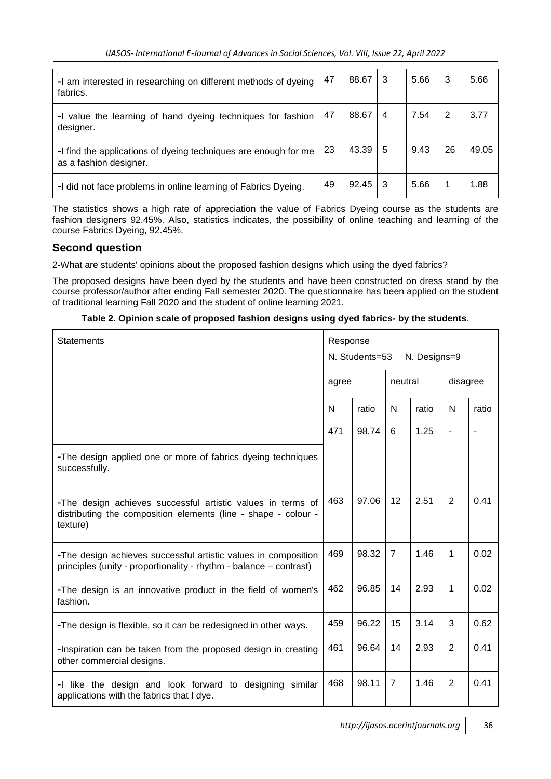| -I am interested in researching on different methods of dyeing<br>fabrics.                | 47 | 88.67 | -3 | 5.66 | 3  | 5.66  |
|-------------------------------------------------------------------------------------------|----|-------|----|------|----|-------|
| -I value the learning of hand dyeing techniques for fashion<br>designer.                  | 47 | 88.67 | 4  | 7.54 | 2  | 3.77  |
| -I find the applications of dyeing techniques are enough for me<br>as a fashion designer. | 23 | 43.39 | 5  | 9.43 | 26 | 49.05 |
| -I did not face problems in online learning of Fabrics Dyeing.                            | 49 | 92.45 | 3  | 5.66 | 1  | 1.88  |

The statistics shows a high rate of appreciation the value of Fabrics Dyeing course as the students are fashion designers 92.45%. Also, statistics indicates, the possibility of online teaching and learning of the course Fabrics Dyeing, 92.45%.

### **Second question**

2-What are students' opinions about the proposed fashion designs which using the dyed fabrics?

The proposed designs have been dyed by the students and have been constructed on dress stand by the course professor/author after ending Fall semester 2020. The questionnaire has been applied on the student of traditional learning Fall 2020 and the student of online learning 2021.

|  | Table 2. Opinion scale of proposed fashion designs using dyed fabrics- by the students. |  |  |
|--|-----------------------------------------------------------------------------------------|--|--|
|  |                                                                                         |  |  |

| <b>Statements</b>                                                                                                                         | Response<br>N. Students=53<br>N. Designs=9 |       |                |       |                |       |
|-------------------------------------------------------------------------------------------------------------------------------------------|--------------------------------------------|-------|----------------|-------|----------------|-------|
|                                                                                                                                           | agree                                      |       | neutral        |       | disagree       |       |
|                                                                                                                                           | N                                          | ratio | N              | ratio | N              | ratio |
|                                                                                                                                           | 471                                        | 98.74 | 6              | 1.25  |                |       |
| -The design applied one or more of fabrics dyeing techniques<br>successfully.                                                             |                                            |       |                |       |                |       |
| -The design achieves successful artistic values in terms of<br>distributing the composition elements (line - shape - colour -<br>texture) | 463                                        | 97.06 | 12             | 2.51  | 2              | 0.41  |
| -The design achieves successful artistic values in composition<br>principles (unity - proportionality - rhythm - balance – contrast)      | 469                                        | 98.32 | 7              | 1.46  | 1              | 0.02  |
| -The design is an innovative product in the field of women's<br>fashion.                                                                  | 462                                        | 96.85 | 14             | 2.93  | 1              | 0.02  |
| -The design is flexible, so it can be redesigned in other ways.                                                                           | 459                                        | 96.22 | 15             | 3.14  | 3              | 0.62  |
| -Inspiration can be taken from the proposed design in creating<br>other commercial designs.                                               | 461                                        | 96.64 | 14             | 2.93  | 2              | 0.41  |
| -I like the design and look forward to designing<br>similar<br>applications with the fabrics that I dye.                                  | 468                                        | 98.11 | $\overline{7}$ | 1.46  | $\overline{2}$ | 0.41  |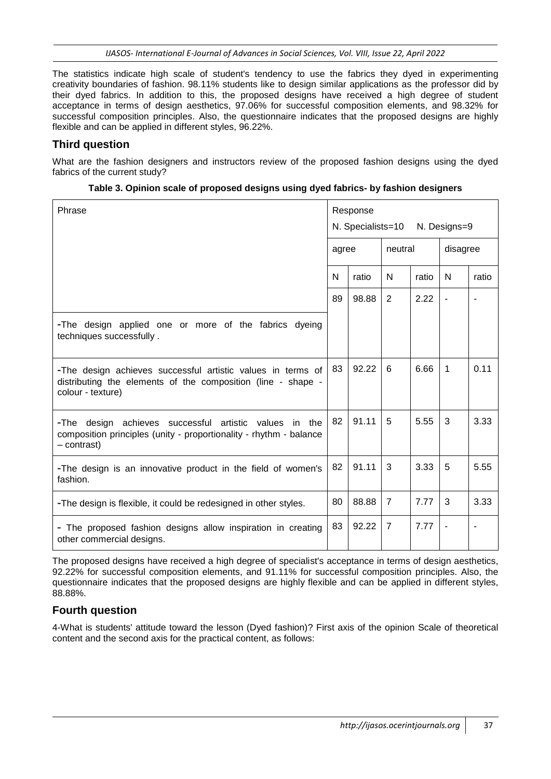The statistics indicate high scale of student's tendency to use the fabrics they dyed in experimenting creativity boundaries of fashion. 98.11% students like to design similar applications as the professor did by their dyed fabrics. In addition to this, the proposed designs have received a high degree of student acceptance in terms of design aesthetics, 97.06% for successful composition elements, and 98.32% for successful composition principles. Also, the questionnaire indicates that the proposed designs are highly flexible and can be applied in different styles, 96.22%.

## **Third question**

What are the fashion designers and instructors review of the proposed fashion designs using the dyed fabrics of the current study?

| Phrase                                                                                                                                                  | Response<br>agree |       | N. Specialists=10 N. Designs=9 |       |                          |       |  |  |
|---------------------------------------------------------------------------------------------------------------------------------------------------------|-------------------|-------|--------------------------------|-------|--------------------------|-------|--|--|
|                                                                                                                                                         |                   |       | neutral                        |       | disagree                 |       |  |  |
|                                                                                                                                                         | N                 | ratio | N                              | ratio | N                        | ratio |  |  |
|                                                                                                                                                         | 89                | 98.88 | 2                              | 2.22  | $\overline{\phantom{a}}$ |       |  |  |
| -The design applied one or more of the fabrics dyeing<br>techniques successfully.                                                                       |                   |       |                                |       |                          |       |  |  |
| -The design achieves successful artistic values in terms of<br>distributing the elements of the composition (line - shape -<br>colour - texture)        | 83                | 92.22 | 6                              | 6.66  | 1                        | 0.11  |  |  |
| -The design achieves successful artistic<br>values<br>the<br>in.<br>composition principles (unity - proportionality - rhythm - balance<br>$-$ contrast) | 82                | 91.11 | 5                              | 5.55  | 3                        | 3.33  |  |  |
| -The design is an innovative product in the field of women's<br>fashion.                                                                                | 82                | 91.11 | 3                              | 3.33  | 5                        | 5.55  |  |  |
| -The design is flexible, it could be redesigned in other styles.                                                                                        | 80                | 88.88 | $\overline{7}$                 | 7.77  | 3                        | 3.33  |  |  |
| - The proposed fashion designs allow inspiration in creating<br>other commercial designs.                                                               | 83                | 92.22 | $\overline{7}$                 | 7.77  | $\overline{\phantom{a}}$ |       |  |  |

|  |  | Table 3. Opinion scale of proposed designs using dyed fabrics- by fashion designers |
|--|--|-------------------------------------------------------------------------------------|
|  |  |                                                                                     |

The proposed designs have received a high degree of specialist's acceptance in terms of design aesthetics, 92.22% for successful composition elements, and 91.11% for successful composition principles. Also, the questionnaire indicates that the proposed designs are highly flexible and can be applied in different styles, 88.88%.

## **Fourth question**

4-What is students' attitude toward the lesson (Dyed fashion)? First axis of the opinion Scale of theoretical content and the second axis for the practical content, as follows: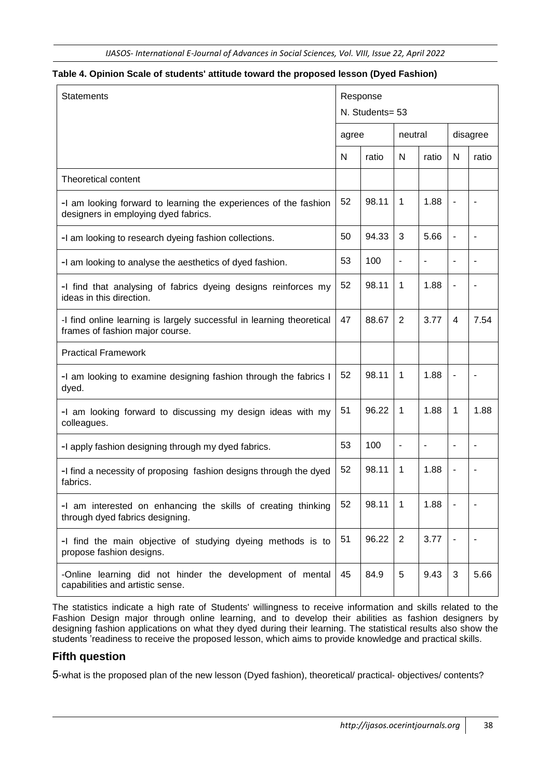#### **Table 4. Opinion Scale of students' attitude toward the proposed lesson (Dyed Fashion)**

| <b>Statements</b>                                                                                        | Response<br>N. Students= 53 |       |                          |                          |              |                          |
|----------------------------------------------------------------------------------------------------------|-----------------------------|-------|--------------------------|--------------------------|--------------|--------------------------|
|                                                                                                          | agree                       |       | neutral                  |                          |              | disagree                 |
|                                                                                                          | N                           | ratio | N                        | ratio                    | N            | ratio                    |
| Theoretical content                                                                                      |                             |       |                          |                          |              |                          |
| -I am looking forward to learning the experiences of the fashion<br>designers in employing dyed fabrics. | 52                          | 98.11 | 1                        | 1.88                     |              |                          |
| -I am looking to research dyeing fashion collections.                                                    | 50                          | 94.33 | 3                        | 5.66                     | ÷            |                          |
| -I am looking to analyse the aesthetics of dyed fashion.                                                 | 53                          | 100   | ٠                        | $\blacksquare$           |              |                          |
| -I find that analysing of fabrics dyeing designs reinforces my<br>ideas in this direction.               | 52                          | 98.11 | 1                        | 1.88                     | ٠            | ٠                        |
| -I find online learning is largely successful in learning theoretical<br>frames of fashion major course. | 47                          | 88.67 | $\overline{2}$           | 3.77                     | 4            | 7.54                     |
| <b>Practical Framework</b>                                                                               |                             |       |                          |                          |              |                          |
| -I am looking to examine designing fashion through the fabrics I<br>dyed.                                | 52                          | 98.11 | 1                        | 1.88                     | ٠            |                          |
| -I am looking forward to discussing my design ideas with my<br>colleagues.                               | 51                          | 96.22 | 1                        | 1.88                     | 1            | 1.88                     |
| -I apply fashion designing through my dyed fabrics.                                                      | 53                          | 100   | $\overline{\phantom{a}}$ | $\overline{\phantom{a}}$ | ÷            | ٠                        |
| -I find a necessity of proposing fashion designs through the dyed<br>fabrics.                            | 52                          | 98.11 | 1                        | 1.88                     |              |                          |
| -I am interested on enhancing the skills of creating thinking<br>through dyed fabrics designing.         | 52                          | 98.11 | 1                        | 1.88                     |              |                          |
| -I find the main objective of studying dyeing methods is to<br>propose fashion designs.                  | 51                          | 96.22 | $\overline{2}$           | 3.77                     | ٠            | $\overline{\phantom{a}}$ |
| -Online learning did not hinder the development of mental<br>capabilities and artistic sense.            | 45                          | 84.9  | 5                        | 9.43                     | $\mathbf{3}$ | 5.66                     |

The statistics indicate a high rate of Students' willingness to receive information and skills related to the Fashion Design major through online learning, and to develop their abilities as fashion designers by designing fashion applications on what they dyed during their learning. The statistical results also show the students 'readiness to receive the proposed lesson, which aims to provide knowledge and practical skills.

### **Fifth question**

5-what is the proposed plan of the new lesson (Dyed fashion), theoretical/ practical- objectives/ contents?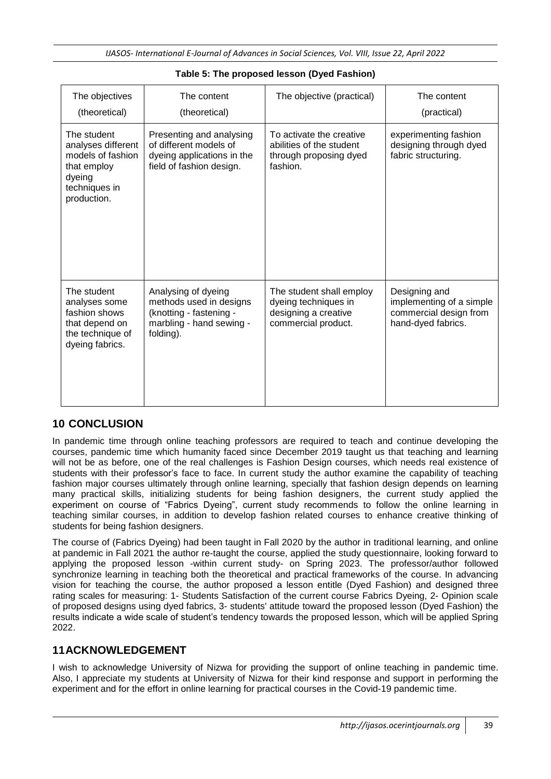| The objectives<br>(theoretical)                                                                                 | The content<br>(theoretical)                                                                                       | The objective (practical)                                                                       | The content<br>(practical)                                                                |
|-----------------------------------------------------------------------------------------------------------------|--------------------------------------------------------------------------------------------------------------------|-------------------------------------------------------------------------------------------------|-------------------------------------------------------------------------------------------|
| The student<br>analyses different<br>models of fashion<br>that employ<br>dyeing<br>techniques in<br>production. | Presenting and analysing<br>of different models of<br>dyeing applications in the<br>field of fashion design.       | To activate the creative<br>abilities of the student<br>through proposing dyed<br>fashion.      | experimenting fashion<br>designing through dyed<br>fabric structuring.                    |
| The student<br>analyses some<br>fashion shows<br>that depend on<br>the technique of<br>dyeing fabrics.          | Analysing of dyeing<br>methods used in designs<br>(knotting - fastening -<br>marbling - hand sewing -<br>folding). | The student shall employ<br>dyeing techniques in<br>designing a creative<br>commercial product. | Designing and<br>implementing of a simple<br>commercial design from<br>hand-dyed fabrics. |

#### **Table 5: The proposed lesson (Dyed Fashion)**

## **10 CONCLUSION**

In pandemic time through online teaching professors are required to teach and continue developing the courses, pandemic time which humanity faced since December 2019 taught us that teaching and learning will not be as before, one of the real challenges is Fashion Design courses, which needs real existence of students with their professor's face to face. In current study the author examine the capability of teaching fashion major courses ultimately through online learning, specially that fashion design depends on learning many practical skills, initializing students for being fashion designers, the current study applied the experiment on course of "Fabrics Dyeing", current study recommends to follow the online learning in teaching similar courses, in addition to develop fashion related courses to enhance creative thinking of students for being fashion designers.

The course of (Fabrics Dyeing) had been taught in Fall 2020 by the author in traditional learning, and online at pandemic in Fall 2021 the author re-taught the course, applied the study questionnaire, looking forward to applying the proposed lesson -within current study- on Spring 2023. The professor/author followed synchronize learning in teaching both the theoretical and practical frameworks of the course. In advancing vision for teaching the course, the author proposed a lesson entitle (Dyed Fashion) and designed three rating scales for measuring: 1- Students Satisfaction of the current course Fabrics Dyeing, 2- Opinion scale of proposed designs using dyed fabrics, 3- students' attitude toward the proposed lesson (Dyed Fashion) the results indicate a wide scale of student's tendency towards the proposed lesson, which will be applied Spring 2022.

## **11ACKNOWLEDGEMENT**

I wish to acknowledge University of Nizwa for providing the support of online teaching in pandemic time. Also, I appreciate my students at University of Nizwa for their kind response and support in performing the experiment and for the effort in online learning for practical courses in the Covid-19 pandemic time.